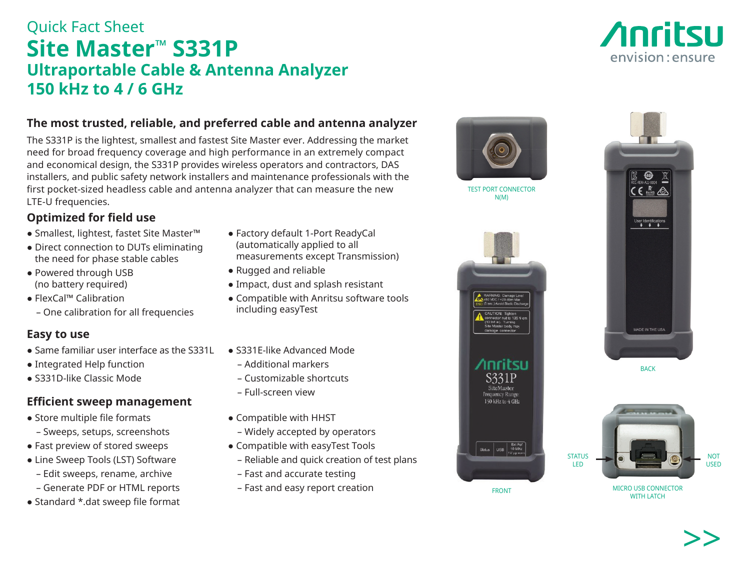# Quick Fact Sheet **Site Master™ S331P Ultraportable Cable & Antenna Analyzer 150 kHz to 4 / 6 GHz**

## **The most trusted, reliable, and preferred cable and antenna analyzer**

The S331P is the lightest, smallest and fastest Site Master ever. Addressing the market need for broad frequency coverage and high performance in an extremely compact and economical design, the S331P provides wireless operators and contractors, DAS installers, and public safety network installers and maintenance professionals with the first pocket-sized headless cable and antenna analyzer that can measure the new LTE-U frequencies.

# **Optimized for field use**

- Smallest, lightest, fastet Site Master™
- Direct connection to DUTs eliminating the need for phase stable cables
- Powered through USB (no battery required)
- FlexCal™ Calibration
	- One calibration for all frequencies

## **Easy to use**

- Same familiar user interface as the S331L
- Integrated Help function
- S331D-like Classic Mode

# **Efficient sweep management**

- Store multiple file formats
	- Sweeps, setups, screenshots
- Fast preview of stored sweeps
- Line Sweep Tools (LST) Software
	- Edit sweeps, rename, archive
	- Generate PDF or HTML reports
- Standard \*.dat sweep file format
- Factory default 1-Port ReadyCal (automatically applied to all measurements except Transmission)
- Rugged and reliable
- Impact, dust and splash resistant
- Compatible with Anritsu software tools including easyTest
- S331E-like Advanced Mode
	- Additional markers
	- Customizable shortcuts
	- Full-screen view
- Compatible with HHST
- Widely accepted by operators
- Compatible with easyTest Tools
	- Reliable and quick creation of test plans
	- Fast and accurate testing
	- Fast and easy report creation

FRONT

Status USB 10 MHz



**STATUS** LED



NOT USED





TEST PORT CONNECTOR N(M)